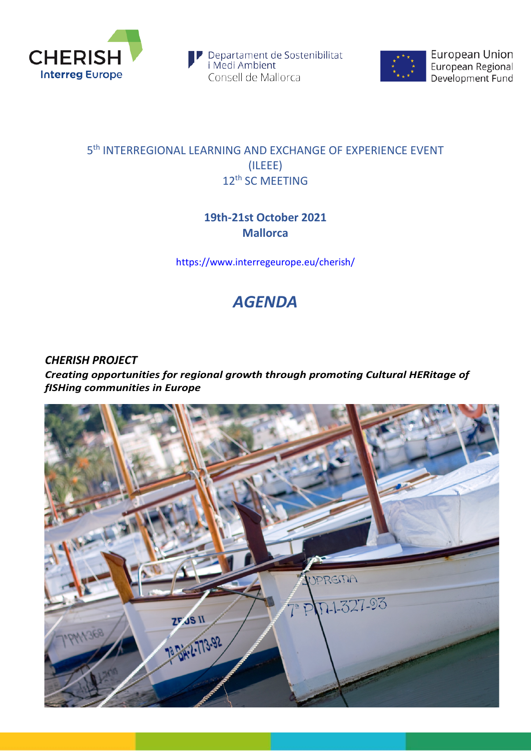

Departament de Sostenibilitat<br>i Medi Ambient Consell de Mallorca



European Union European Regional<br>Development Fund

## 5th INTERREGIONAL LEARNING AND EXCHANGE OF EXPERIENCE EVENT (ILEEE) 12<sup>th</sup> SC MEETING

## **19th-21st October 2021 Mallorca**

<https://www.interregeurope.eu/cherish/>

## *AGENDA*

*CHERISH PROJECT Creating opportunities for regional growth through promoting Cultural HERitage of fISHing communities in Europe*

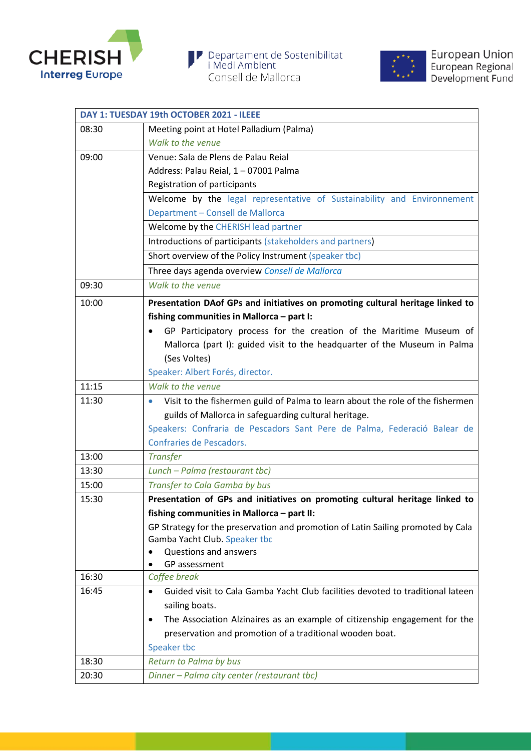





|       | DAY 1: TUESDAY 19th OCTOBER 2021 - ILEEE                                                    |
|-------|---------------------------------------------------------------------------------------------|
| 08:30 | Meeting point at Hotel Palladium (Palma)                                                    |
|       | Walk to the venue                                                                           |
| 09:00 | Venue: Sala de Plens de Palau Reial                                                         |
|       | Address: Palau Reial, 1 - 07001 Palma                                                       |
|       | Registration of participants                                                                |
|       | Welcome by the legal representative of Sustainability and Environnement                     |
|       | Department - Consell de Mallorca                                                            |
|       | Welcome by the CHERISH lead partner                                                         |
|       | Introductions of participants (stakeholders and partners)                                   |
|       | Short overview of the Policy Instrument (speaker tbc)                                       |
|       | Three days agenda overview Consell de Mallorca                                              |
| 09:30 | Walk to the venue                                                                           |
| 10:00 | Presentation DAof GPs and initiatives on promoting cultural heritage linked to              |
|       | fishing communities in Mallorca - part I:                                                   |
|       | GP Participatory process for the creation of the Maritime Museum of                         |
|       | Mallorca (part I): guided visit to the headquarter of the Museum in Palma                   |
|       | (Ses Voltes)                                                                                |
|       | Speaker: Albert Forés, director.                                                            |
| 11:15 | Walk to the venue                                                                           |
| 11:30 | Visit to the fishermen guild of Palma to learn about the role of the fishermen<br>$\bullet$ |
|       | guilds of Mallorca in safeguarding cultural heritage.                                       |
|       | Speakers: Confraria de Pescadors Sant Pere de Palma, Federació Balear de                    |
|       | Confraries de Pescadors.                                                                    |
| 13:00 | <b>Transfer</b>                                                                             |
| 13:30 | Lunch - Palma (restaurant tbc)                                                              |
| 15:00 | <b>Transfer to Cala Gamba by bus</b>                                                        |
| 15:30 | Presentation of GPs and initiatives on promoting cultural heritage linked to                |
|       | fishing communities in Mallorca - part II:                                                  |
|       | GP Strategy for the preservation and promotion of Latin Sailing promoted by Cala            |
|       | Gamba Yacht Club. Speaker tbc                                                               |
|       | Questions and answers<br>GP assessment                                                      |
| 16:30 | Coffee break                                                                                |
| 16:45 | Guided visit to Cala Gamba Yacht Club facilities devoted to traditional lateen              |
|       | sailing boats.                                                                              |
|       | The Association Alzinaires as an example of citizenship engagement for the<br>٠             |
|       | preservation and promotion of a traditional wooden boat.                                    |
|       | Speaker tbc                                                                                 |
| 18:30 | Return to Palma by bus                                                                      |
| 20:30 | Dinner - Palma city center (restaurant tbc)                                                 |
|       |                                                                                             |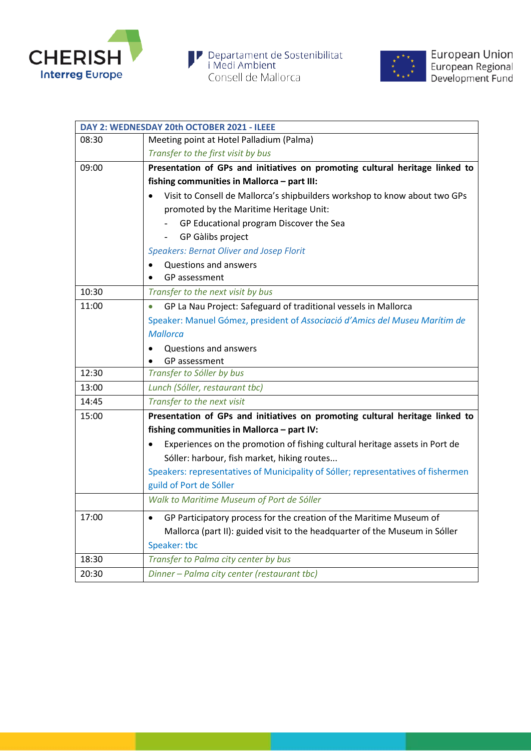



| DAY 2: WEDNESDAY 20th OCTOBER 2021 - ILEEE                                        |
|-----------------------------------------------------------------------------------|
| Meeting point at Hotel Palladium (Palma)                                          |
| Transfer to the first visit by bus                                                |
| Presentation of GPs and initiatives on promoting cultural heritage linked to      |
| fishing communities in Mallorca - part III:                                       |
| Visit to Consell de Mallorca's shipbuilders workshop to know about two GPs        |
| promoted by the Maritime Heritage Unit:                                           |
| GP Educational program Discover the Sea                                           |
| GP Gàlibs project                                                                 |
| <b>Speakers: Bernat Oliver and Josep Florit</b>                                   |
| Questions and answers                                                             |
| GP assessment                                                                     |
| Transfer to the next visit by bus                                                 |
| GP La Nau Project: Safeguard of traditional vessels in Mallorca                   |
| Speaker: Manuel Gómez, president of Associació d'Amics del Museu Marítim de       |
| <b>Mallorca</b>                                                                   |
| Questions and answers                                                             |
| GP assessment                                                                     |
| Transfer to Sóller by bus                                                         |
| Lunch (Sóller, restaurant tbc)                                                    |
| Transfer to the next visit                                                        |
| Presentation of GPs and initiatives on promoting cultural heritage linked to      |
| fishing communities in Mallorca - part IV:                                        |
| Experiences on the promotion of fishing cultural heritage assets in Port de       |
| Sóller: harbour, fish market, hiking routes                                       |
| Speakers: representatives of Municipality of Sóller; representatives of fishermen |
| guild of Port de Sóller                                                           |
| Walk to Maritime Museum of Port de Sóller                                         |
| GP Participatory process for the creation of the Maritime Museum of<br>$\bullet$  |
| Mallorca (part II): guided visit to the headquarter of the Museum in Sóller       |
| Speaker: tbc                                                                      |
|                                                                                   |
| Transfer to Palma city center by bus                                              |
|                                                                                   |